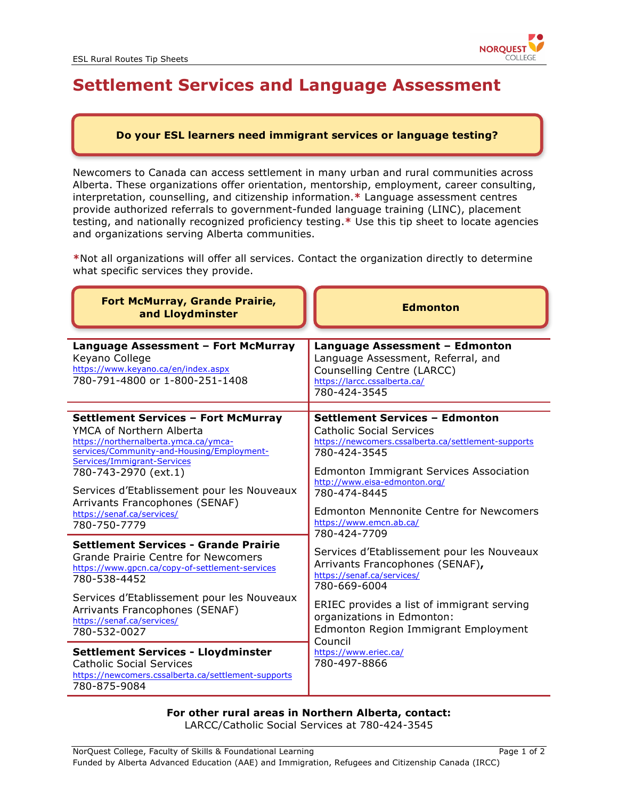

## **Settlement Services and Language Assessment**

## **Do your ESL learners need immigrant services or language testing?**

Newcomers to Canada can access settlement in many urban and rural communities across Alberta. These organizations offer orientation, mentorship, employment, career consulting, interpretation, counselling, and citizenship information.**\*** Language assessment centres provide authorized referrals to government-funded language training (LINC), placement testing, and nationally recognized proficiency testing.**\*** Use this tip sheet to locate agencies and organizations serving Alberta communities.

**\***Not all organizations will offer all services. Contact the organization directly to determine what specific services they provide.

| <b>Fort McMurray, Grande Prairie,</b><br>and Lloydminster                                                                                                                                                                                                                                                                                          | <b>Edmonton</b>                                                                                                                                                                                                                                                                                                                                                                                                                                                                                                                                                                                                      |
|----------------------------------------------------------------------------------------------------------------------------------------------------------------------------------------------------------------------------------------------------------------------------------------------------------------------------------------------------|----------------------------------------------------------------------------------------------------------------------------------------------------------------------------------------------------------------------------------------------------------------------------------------------------------------------------------------------------------------------------------------------------------------------------------------------------------------------------------------------------------------------------------------------------------------------------------------------------------------------|
| Language Assessment - Fort McMurray<br>Keyano College<br>https://www.keyano.ca/en/index.aspx<br>780-791-4800 or 1-800-251-1408                                                                                                                                                                                                                     | Language Assessment - Edmonton<br>Language Assessment, Referral, and<br>Counselling Centre (LARCC)<br>https://larcc.cssalberta.ca/<br>780-424-3545                                                                                                                                                                                                                                                                                                                                                                                                                                                                   |
| <b>Settlement Services - Fort McMurray</b><br>YMCA of Northern Alberta<br>https://northernalberta.ymca.ca/ymca-<br>services/Community-and-Housing/Employment-<br>Services/Immigrant-Services<br>780-743-2970 (ext.1)<br>Services d'Etablissement pour les Nouveaux<br>Arrivants Francophones (SENAF)<br>https://senaf.ca/services/<br>780-750-7779 | <b>Settlement Services - Edmonton</b><br><b>Catholic Social Services</b><br>https://newcomers.cssalberta.ca/settlement-supports<br>780-424-3545<br><b>Edmonton Immigrant Services Association</b><br>http://www.eisa-edmonton.org/<br>780-474-8445<br><b>Edmonton Mennonite Centre for Newcomers</b><br>https://www.emcn.ab.ca/<br>780-424-7709<br>Services d'Etablissement pour les Nouveaux<br>Arrivants Francophones (SENAF),<br>https://senaf.ca/services/<br>780-669-6004<br>ERIEC provides a list of immigrant serving<br>organizations in Edmonton:<br><b>Edmonton Region Immigrant Employment</b><br>Council |
| <b>Settlement Services - Grande Prairie</b><br>Grande Prairie Centre for Newcomers<br>https://www.gpcn.ca/copy-of-settlement-services<br>780-538-4452<br>Services d'Etablissement pour les Nouveaux<br>Arrivants Francophones (SENAF)<br>https://senaf.ca/services/<br>780-532-0027                                                                |                                                                                                                                                                                                                                                                                                                                                                                                                                                                                                                                                                                                                      |
| <b>Settlement Services - Lloydminster</b><br><b>Catholic Social Services</b><br>https://newcomers.cssalberta.ca/settlement-supports<br>780-875-9084                                                                                                                                                                                                | https://www.eriec.ca/<br>780-497-8866                                                                                                                                                                                                                                                                                                                                                                                                                                                                                                                                                                                |

## **For other rural areas in Northern Alberta, contact:**

LARCC/Catholic Social Services at 780-424-3545